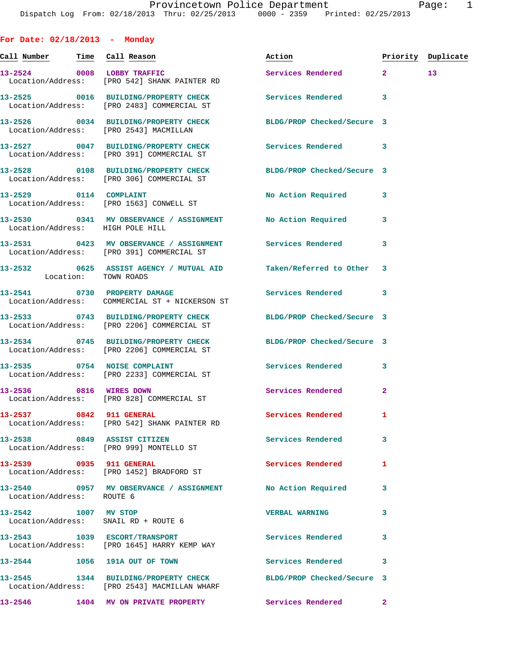**For Date: 02/18/2013 - Monday** Call Number Time Call Reason **Reason Action Action** Priority Duplicate **13-2524 0008 LOBBY TRAFFIC Services Rendered 2 13**  Location/Address: [PRO 542] SHANK PAINTER RD **13-2525 0016 BUILDING/PROPERTY CHECK Services Rendered 3**  Location/Address: [PRO 2483] COMMERCIAL ST **13-2526 0034 BUILDING/PROPERTY CHECK BLDG/PROP Checked/Secure 3**  Location/Address: [PRO 2543] MACMILLAN **13-2527 0047 BUILDING/PROPERTY CHECK Services Rendered 3**  Location/Address: [PRO 391] COMMERCIAL ST **13-2528 0108 BUILDING/PROPERTY CHECK BLDG/PROP Checked/Secure 3**  Location/Address: [PRO 306] COMMERCIAL ST **13-2529 0114 COMPLAINT No Action Required 3**  Location/Address: [PRO 1563] CONWELL ST **13-2530 0341 MV OBSERVANCE / ASSIGNMENT No Action Required 3**  Location/Address: HIGH POLE HILL **13-2531 0423 MV OBSERVANCE / ASSIGNMENT Services Rendered 3**  Location/Address: [PRO 391] COMMERCIAL ST **13-2532 0625 ASSIST AGENCY / MUTUAL AID Taken/Referred to Other 3**  Location: TOWN ROADS **13-2541 0730 PROPERTY DAMAGE Services Rendered 3**  Location/Address: COMMERCIAL ST + NICKERSON ST **13-2533 0743 BUILDING/PROPERTY CHECK BLDG/PROP Checked/Secure 3**  Location/Address: [PRO 2206] COMMERCIAL ST **13-2534 0745 BUILDING/PROPERTY CHECK BLDG/PROP Checked/Secure 3**  Location/Address: [PRO 2206] COMMERCIAL ST **13-2535 0754 NOISE COMPLAINT Services Rendered 3**  Location/Address: [PRO 2233] COMMERCIAL ST **13-2536 0816 WIRES DOWN Services Rendered 2**  Location/Address: [PRO 828] COMMERCIAL ST **13-2537 0842 911 GENERAL Services Rendered 1**  Location/Address: [PRO 542] SHANK PAINTER RD **13-2538 0849 ASSIST CITIZEN Services Rendered 3**  Location/Address: [PRO 999] MONTELLO ST **13-2539 0935 911 GENERAL Services Rendered 1**  Location/Address: [PRO 1452] BRADFORD ST **13-2540 0957 MV OBSERVANCE / ASSIGNMENT No Action Required 3**  Location/Address: ROUTE 6 **13-2542 1007 MV STOP VERBAL WARNING 3**  Location/Address: SNAIL RD + ROUTE 6 **13-2543 1039 ESCORT/TRANSPORT Services Rendered 3**  Location/Address: [PRO 1645] HARRY KEMP WAY **13-2544 1056 191A OUT OF TOWN Services Rendered 3** 

**13-2545 1344 BUILDING/PROPERTY CHECK BLDG/PROP Checked/Secure 3**  Location/Address: [PRO 2543] MACMILLAN WHARF

**13-2546 1404 MV ON PRIVATE PROPERTY Services Rendered 2**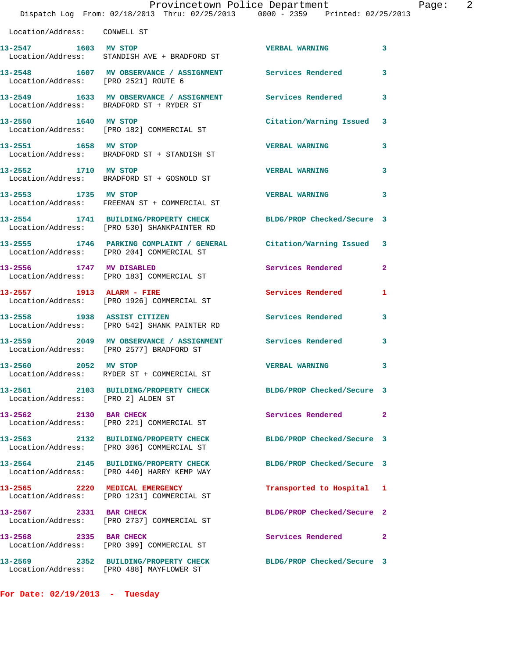|                                      | Provincetown Police Department<br>Dispatch Log From: 02/18/2013 Thru: 02/25/2013 0000 - 2359 Printed: 02/25/2013    |                            |              |
|--------------------------------------|---------------------------------------------------------------------------------------------------------------------|----------------------------|--------------|
| Location/Address: CONWELL ST         |                                                                                                                     |                            |              |
| 13-2547 1603 MV STOP                 | Location/Address: STANDISH AVE + BRADFORD ST                                                                        | <b>VERBAL WARNING</b>      | 3            |
| Location/Address: [PRO 2521] ROUTE 6 | 13-2548 1607 MV OBSERVANCE / ASSIGNMENT Services Rendered                                                           |                            | 3            |
|                                      | 13-2549 1633 MV OBSERVANCE / ASSIGNMENT Services Rendered<br>Location/Address: BRADFORD ST + RYDER ST               |                            | 3            |
| 13-2550 1640 MV STOP                 | Location/Address: [PRO 182] COMMERCIAL ST                                                                           | Citation/Warning Issued    | 3            |
| 13-2551 1658 MV STOP                 | Location/Address: BRADFORD ST + STANDISH ST                                                                         | <b>VERBAL WARNING</b>      | 3            |
| 13-2552 1710 MV STOP                 | Location/Address: BRADFORD ST + GOSNOLD ST                                                                          | <b>VERBAL WARNING</b>      | 3            |
| 13-2553 1735 MV STOP                 | Location/Address: FREEMAN ST + COMMERCIAL ST                                                                        | <b>VERBAL WARNING</b>      | 3            |
|                                      | 13-2554 1741 BUILDING/PROPERTY CHECK BLDG/PROP Checked/Secure 3<br>Location/Address: [PRO 530] SHANKPAINTER RD      |                            |              |
|                                      | 13-2555   1746   PARKING COMPLAINT / GENERAL   Citation/Warning Issued<br>Location/Address: [PRO 204] COMMERCIAL ST |                            | 3            |
| 13-2556 1747 MV DISABLED             | Location/Address: [PRO 183] COMMERCIAL ST                                                                           | Services Rendered          | $\mathbf{2}$ |
|                                      | 13-2557 1913 ALARM - FIRE<br>Location/Address: [PRO 1926] COMMERCIAL ST                                             | Services Rendered          | 1            |
| 13-2558 1938 ASSIST CITIZEN          | Location/Address: [PRO 542] SHANK PAINTER RD                                                                        | Services Rendered          | 3            |
|                                      | 13-2559 2049 MV OBSERVANCE / ASSIGNMENT Services Rendered<br>Location/Address: [PRO 2577] BRADFORD ST               |                            | 3            |
| 13-2560 2052 MV STOP                 | Location/Address: RYDER ST + COMMERCIAL ST                                                                          | <b>VERBAL WARNING</b>      |              |
| Location/Address: [PRO 2] ALDEN ST   | 13-2561 2103 BUILDING/PROPERTY CHECK                                                                                | BLDG/PROP Checked/Secure 3 |              |
| 13-2562 2130 BAR CHECK               | Location/Address: [PRO 221] COMMERCIAL ST                                                                           | Services Rendered          | $\mathbf{2}$ |
|                                      | 13-2563 2132 BUILDING/PROPERTY CHECK<br>Location/Address: [PRO 306] COMMERCIAL ST                                   | BLDG/PROP Checked/Secure 3 |              |
|                                      | 13-2564 2145 BUILDING/PROPERTY CHECK<br>Location/Address: [PRO 440] HARRY KEMP WAY                                  | BLDG/PROP Checked/Secure 3 |              |
|                                      | 13-2565 2220 MEDICAL EMERGENCY<br>Location/Address: [PRO 1231] COMMERCIAL ST                                        | Transported to Hospital    | 1            |
| 13-2567 2331 BAR CHECK               | Location/Address: [PRO 2737] COMMERCIAL ST                                                                          | BLDG/PROP Checked/Secure 2 |              |
| 13-2568 2335 BAR CHECK               | Location/Address: [PRO 399] COMMERCIAL ST                                                                           | Services Rendered          | 2            |
|                                      | 13-2569 2352 BUILDING/PROPERTY CHECK<br>Location/Address: [PRO 488] MAYFLOWER ST                                    | BLDG/PROP Checked/Secure 3 |              |

**For Date: 02/19/2013 - Tuesday**

Page: 2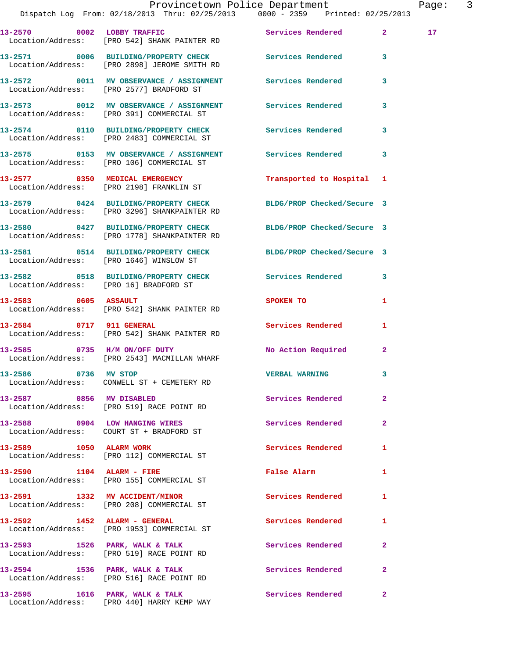|                              | Provincetown Police Department<br>Dispatch Log From: 02/18/2013 Thru: 02/25/2013 0000 - 2359 Printed: 02/25/2013 |                                                                                                                |                | Page: 3         |  |
|------------------------------|------------------------------------------------------------------------------------------------------------------|----------------------------------------------------------------------------------------------------------------|----------------|-----------------|--|
|                              | 13-2570 0002 LOBBY TRAFFIC<br>Location/Address: [PRO 542] SHANK PAINTER RD                                       | Services Rendered 2                                                                                            |                | 17 <sub>1</sub> |  |
|                              | 13-2571 0006 BUILDING/PROPERTY CHECK Services Rendered 3<br>Location/Address: [PRO 2898] JEROME SMITH RD         |                                                                                                                |                |                 |  |
|                              | 13-2572 0011 MV OBSERVANCE / ASSIGNMENT Services Rendered 3<br>Location/Address: [PRO 2577] BRADFORD ST          |                                                                                                                |                |                 |  |
|                              | 13-2573 0012 MV OBSERVANCE / ASSIGNMENT Services Rendered<br>Location/Address: [PRO 391] COMMERCIAL ST           |                                                                                                                | 3              |                 |  |
|                              | 13-2574 0110 BUILDING/PROPERTY CHECK Services Rendered 3<br>Location/Address: [PRO 2483] COMMERCIAL ST           |                                                                                                                |                |                 |  |
|                              | 13-2575 0153 MV OBSERVANCE / ASSIGNMENT Services Rendered 3<br>Location/Address: [PRO 106] COMMERCIAL ST         |                                                                                                                |                |                 |  |
|                              | 13-2577 0350 MEDICAL EMERGENCY<br>Location/Address: [PRO 2198] FRANKLIN ST                                       | Transported to Hospital 1                                                                                      |                |                 |  |
|                              | 13-2579 0424 BUILDING/PROPERTY CHECK BLDG/PROP Checked/Secure 3<br>Location/Address: [PRO 3296] SHANKPAINTER RD  |                                                                                                                |                |                 |  |
|                              | 13-2580 0427 BUILDING/PROPERTY CHECK BLDG/PROP Checked/Secure 3<br>Location/Address: [PRO 1778] SHANKPAINTER RD  |                                                                                                                |                |                 |  |
|                              | 13-2581 0514 BUILDING/PROPERTY CHECK BLDG/PROP Checked/Secure 3<br>Location/Address: [PRO 1646] WINSLOW ST       |                                                                                                                |                |                 |  |
|                              | 13-2582 0518 BUILDING/PROPERTY CHECK Services Rendered 3<br>Location/Address: [PRO 16] BRADFORD ST               |                                                                                                                |                |                 |  |
|                              | $13-2583$ 0605 ASSAULT<br>Location/Address: [PRO 542] SHANK PAINTER RD                                           | SPOKEN TO THE STREET OF THE STREET OF THE STREET OF THE STREET OF THE STREET OF THE STREET OF THE STREET OF TH | 1              |                 |  |
|                              | 13-2584      0717   911 GENERAL<br>Location/Address:   [PRO 542] SHANK PAINTER RD                                | Services Rendered                                                                                              | $\mathbf{1}$   |                 |  |
|                              | 13-2585 0735 H/M ON/OFF DUTY<br>Location/Address: [PRO 2543] MACMILLAN WHARF                                     | No Action Required 2                                                                                           |                |                 |  |
| 13-2586 0736 MV STOP         | Location/Address: CONWELL ST + CEMETERY RD                                                                       | <b>VERBAL WARNING</b>                                                                                          |                |                 |  |
|                              | 13-2587 0856 MV DISABLED<br>Location/Address: [PRO 519] RACE POINT RD                                            | Services Rendered                                                                                              | $\overline{2}$ |                 |  |
|                              | 13-2588 0904 LOW HANGING WIRES<br>Location/Address: COURT ST + BRADFORD ST                                       | Services Rendered                                                                                              | $\overline{2}$ |                 |  |
|                              | 13-2589 1050 ALARM WORK<br>Location/Address: [PRO 112] COMMERCIAL ST                                             | Services Rendered                                                                                              | 1              |                 |  |
| 13-2590 1104 ALARM - FIRE    | Location/Address: [PRO 155] COMMERCIAL ST                                                                        | False Alarm                                                                                                    | 1              |                 |  |
|                              | 13-2591 1332 MV ACCIDENT/MINOR<br>Location/Address: [PRO 208] COMMERCIAL ST                                      | Services Rendered                                                                                              | 1              |                 |  |
| 13-2592 1452 ALARM - GENERAL | Location/Address: [PRO 1953] COMMERCIAL ST                                                                       | Services Rendered                                                                                              | 1              |                 |  |
|                              | 13-2593 1526 PARK, WALK & TALK<br>Location/Address: [PRO 519] RACE POINT RD                                      | Services Rendered                                                                                              | $\mathbf{2}$   |                 |  |
|                              | 13-2594 1536 PARK, WALK & TALK<br>Location/Address: [PRO 516] RACE POINT RD                                      | Services Rendered                                                                                              | $\mathbf{2}$   |                 |  |
|                              | 13-2595 1616 PARK, WALK & TALK 1998 Services Rendered 2                                                          |                                                                                                                |                |                 |  |

Location/Address: [PRO 440] HARRY KEMP WAY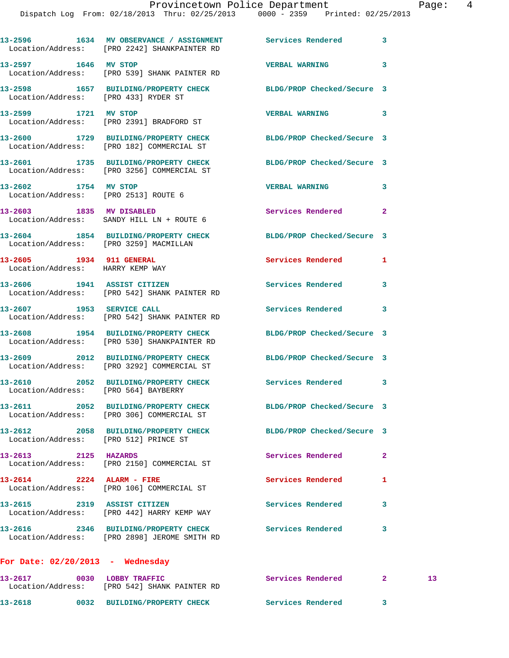|                                                              | 13-2596 1634 MV OBSERVANCE / ASSIGNMENT Services Rendered 3<br>Location/Address: [PRO 2242] SHANKPAINTER RD   |                            |              |                 |
|--------------------------------------------------------------|---------------------------------------------------------------------------------------------------------------|----------------------------|--------------|-----------------|
| 13-2597 1646 MV STOP                                         | Location/Address: [PRO 539] SHANK PAINTER RD                                                                  | <b>VERBAL WARNING</b>      | 3            |                 |
| Location/Address: [PRO 433] RYDER ST                         | 13-2598 1657 BUILDING/PROPERTY CHECK BLDG/PROP Checked/Secure 3                                               |                            |              |                 |
| 13-2599 1721 MV STOP                                         | Location/Address: [PRO 2391] BRADFORD ST                                                                      | <b>VERBAL WARNING</b>      | 3            |                 |
|                                                              | 13-2600 1729 BUILDING/PROPERTY CHECK BLDG/PROP Checked/Secure 3<br>Location/Address: [PRO 182] COMMERCIAL ST  |                            |              |                 |
|                                                              | 13-2601 1735 BUILDING/PROPERTY CHECK<br>Location/Address: [PRO 3256] COMMERCIAL ST                            | BLDG/PROP Checked/Secure 3 |              |                 |
| 13-2602 1754 MV STOP<br>Location/Address: [PRO 2513] ROUTE 6 |                                                                                                               | <b>VERBAL WARNING</b>      | 3            |                 |
|                                                              | 13-2603 1835 MV DISABLED<br>Location/Address: SANDY HILL LN + ROUTE 6                                         | Services Rendered          | $\mathbf{2}$ |                 |
| Location/Address: [PRO 3259] MACMILLAN                       | 13-2604 1854 BUILDING/PROPERTY CHECK                                                                          | BLDG/PROP Checked/Secure 3 |              |                 |
| 13-2605 1934 911 GENERAL<br>Location/Address: HARRY KEMP WAY |                                                                                                               | Services Rendered 1        |              |                 |
|                                                              | 13-2606 1941 ASSIST CITIZEN<br>Location/Address: [PRO 542] SHANK PAINTER RD                                   | <b>Services Rendered</b>   | 3            |                 |
|                                                              | 13-2607 1953 SERVICE CALL<br>Location/Address: [PRO 542] SHANK PAINTER RD                                     | Services Rendered 3        |              |                 |
|                                                              | 13-2608 1954 BUILDING/PROPERTY CHECK<br>Location/Address: [PRO 530] SHANKPAINTER RD                           | BLDG/PROP Checked/Secure 3 |              |                 |
|                                                              | 13-2609 2012 BUILDING/PROPERTY CHECK BLDG/PROP Checked/Secure 3<br>Location/Address: [PRO 3292] COMMERCIAL ST |                            |              |                 |
|                                                              | 13-2610 2052 BUILDING/PROPERTY CHECK Services Rendered 3<br>Location/Address: [PRO 564] BAYBERRY              |                            |              |                 |
|                                                              | 13-2611 2052 BUILDING/PROPERTY CHECK<br>Location/Address: [PRO 306] COMMERCIAL ST                             | BLDG/PROP Checked/Secure 3 |              |                 |
| Location/Address: [PRO 512] PRINCE ST                        | 13-2612 2058 BUILDING/PROPERTY CHECK BLDG/PROP Checked/Secure 3                                               |                            |              |                 |
| 13-2613 2125 HAZARDS                                         | Location/Address: [PRO 2150] COMMERCIAL ST                                                                    | Services Rendered          | $\mathbf{2}$ |                 |
| 13-2614 2224 ALARM - FIRE                                    | Location/Address: [PRO 106] COMMERCIAL ST                                                                     | <b>Services Rendered</b>   | 1            |                 |
| 13-2615 2319 ASSIST CITIZEN                                  | Location/Address: [PRO 442] HARRY KEMP WAY                                                                    | Services Rendered          | 3            |                 |
|                                                              | 13-2616 2346 BUILDING/PROPERTY CHECK Services Rendered<br>Location/Address: [PRO 2898] JEROME SMITH RD        |                            | 3            |                 |
| For Date: $02/20/2013$ - Wednesday                           |                                                                                                               |                            |              |                 |
| 13-2617 0030 LOBBY TRAFFIC                                   |                                                                                                               | Services Rendered          | $\mathbf{2}$ | 13 <sub>1</sub> |

**13-2618 0032 BUILDING/PROPERTY CHECK Services Rendered 3** 

Location/Address: [PRO 542] SHANK PAINTER RD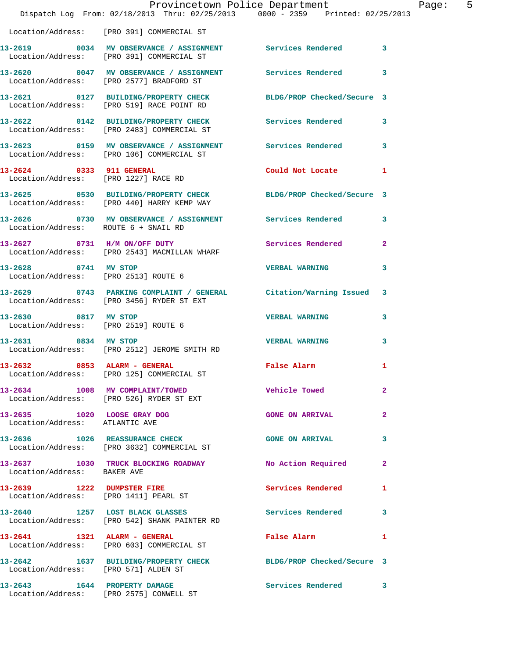|                                                                     | Provincetown Police Department<br>Dispatch Log From: 02/18/2013 Thru: 02/25/2013 0000 - 2359 Printed: 02/25/2013 |                            |                |
|---------------------------------------------------------------------|------------------------------------------------------------------------------------------------------------------|----------------------------|----------------|
|                                                                     | Location/Address: [PRO 391] COMMERCIAL ST                                                                        |                            |                |
|                                                                     | 13-2619 0034 MV OBSERVANCE / ASSIGNMENT Services Rendered<br>Location/Address: [PRO 391] COMMERCIAL ST           |                            | 3              |
|                                                                     | 13-2620 0047 MV OBSERVANCE / ASSIGNMENT Services Rendered<br>Location/Address: [PRO 2577] BRADFORD ST            |                            | 3              |
|                                                                     | 13-2621 0127 BUILDING/PROPERTY CHECK<br>Location/Address: [PRO 519] RACE POINT RD                                | BLDG/PROP Checked/Secure 3 |                |
|                                                                     | 13-2622 0142 BUILDING/PROPERTY CHECK<br>Location/Address: [PRO 2483] COMMERCIAL ST                               | <b>Services Rendered</b>   | 3              |
|                                                                     | 13-2623 0159 MV OBSERVANCE / ASSIGNMENT Services Rendered<br>Location/Address: [PRO 106] COMMERCIAL ST           |                            | 3              |
| 13-2624 0333 911 GENERAL<br>Location/Address: [PRO 1227] RACE RD    |                                                                                                                  | Could Not Locate           | 1              |
|                                                                     | 13-2625 0530 BUILDING/PROPERTY CHECK BLDG/PROP Checked/Secure 3<br>Location/Address: [PRO 440] HARRY KEMP WAY    |                            |                |
| Location/Address: ROUTE 6 + SNAIL RD                                | 13-2626 0730 MV OBSERVANCE / ASSIGNMENT Services Rendered                                                        |                            | 3              |
|                                                                     | 13-2627 0731 H/M ON/OFF DUTY<br>Location/Address: [PRO 2543] MACMILLAN WHARF                                     | Services Rendered          | $\mathbf{2}$   |
| 13-2628 0741 MV STOP<br>Location/Address: [PRO 2513] ROUTE 6        |                                                                                                                  | <b>VERBAL WARNING</b>      | 3              |
|                                                                     | 13-2629 0743 PARKING COMPLAINT / GENERAL Citation/Warning Issued<br>Location/Address: [PRO 3456] RYDER ST EXT    |                            | 3              |
| 13-2630 0817 MV STOP<br>Location/Address: [PRO 2519] ROUTE 6        |                                                                                                                  | <b>VERBAL WARNING</b>      | 3              |
| 13-2631 0834 MV STOP                                                | Location/Address: [PRO 2512] JEROME SMITH RD                                                                     | <b>VERBAL WARNING</b>      | 3              |
| 13-2632 0853 ALARM - GENERAL                                        | Location/Address: [PRO 125] COMMERCIAL ST                                                                        | <b>False Alarm</b>         | 1              |
| 13-2634 1008 MV COMPLAINT/TOWED                                     | Location/Address: [PRO 526] RYDER ST EXT                                                                         | Vehicle Towed              | $\mathbf{2}$   |
| 13-2635 1020 LOOSE GRAY DOG<br>Location/Address: ATLANTIC AVE       |                                                                                                                  | <b>GONE ON ARRIVAL</b>     | $\overline{a}$ |
|                                                                     | 13-2636 1026 REASSURANCE CHECK<br>Location/Address: [PRO 3632] COMMERCIAL ST                                     | <b>GONE ON ARRIVAL</b>     | 3              |
| Location/Address: BAKER AVE                                         | 13-2637 1030 TRUCK BLOCKING ROADWAY                                                                              | No Action Required         | $\mathbf{2}$   |
| 13-2639 1222 DUMPSTER FIRE<br>Location/Address: [PRO 1411] PEARL ST |                                                                                                                  | Services Rendered          | 1              |
|                                                                     | 13-2640 1257 LOST BLACK GLASSES<br>Location/Address: [PRO 542] SHANK PAINTER RD                                  | <b>Services Rendered</b>   | 3              |
| 13-2641 1321 ALARM - GENERAL                                        | Location/Address: [PRO 603] COMMERCIAL ST                                                                        | False Alarm                | 1              |
| Location/Address: [PRO 571] ALDEN ST                                | 13-2642 1637 BUILDING/PROPERTY CHECK                                                                             | BLDG/PROP Checked/Secure 3 |                |
| 13-2643 1644 PROPERTY DAMAGE                                        | Location/Address: [PRO 2575] CONWELL ST                                                                          | Services Rendered          | 3              |

Page: 5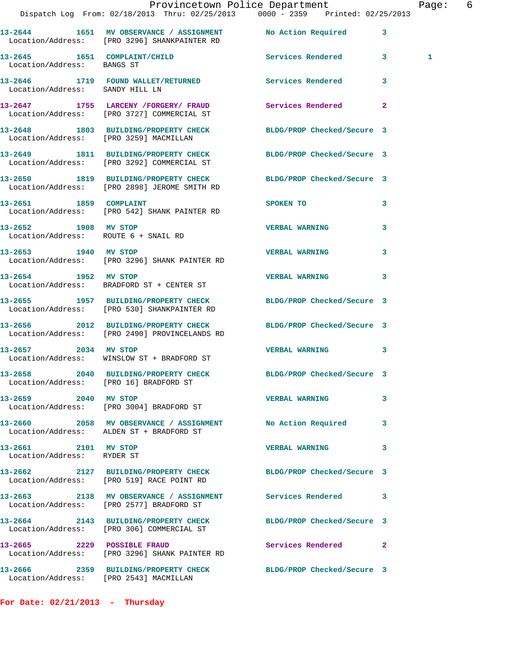|                                                    | Provincetown Police Department<br>Dispatch Log From: 02/18/2013 Thru: 02/25/2013 0000 - 2359 Printed: 02/25/2013 |                            |              | Page: 6 |  |
|----------------------------------------------------|------------------------------------------------------------------------------------------------------------------|----------------------------|--------------|---------|--|
|                                                    | 13-2644 1651 MV OBSERVANCE / ASSIGNMENT No Action Required 3<br>Location/Address: [PRO 3296] SHANKPAINTER RD     |                            |              |         |  |
| Location/Address: BANGS ST                         | 13-2645 1651 COMPLAINT/CHILD Services Rendered 3                                                                 |                            |              | 1       |  |
|                                                    | 13-2646 1719 FOUND WALLET/RETURNED Services Rendered 3<br>Location/Address: SANDY HILL LN                        |                            |              |         |  |
|                                                    | 13-2647 1755 LARCENY /FORGERY / FRAUD Services Rendered<br>Location/Address: [PRO 3727] COMMERCIAL ST            |                            | $\mathbf{2}$ |         |  |
|                                                    | 13-2648 1803 BUILDING/PROPERTY CHECK BLDG/PROP Checked/Secure 3<br>Location/Address: [PRO 3259] MACMILLAN        |                            |              |         |  |
|                                                    | 13-2649 1811 BUILDING/PROPERTY CHECK BLDG/PROP Checked/Secure 3<br>Location/Address: [PRO 3292] COMMERCIAL ST    |                            |              |         |  |
|                                                    | 13-2650 1819 BUILDING/PROPERTY CHECK BLDG/PROP Checked/Secure 3<br>Location/Address: [PRO 2898] JEROME SMITH RD  |                            |              |         |  |
|                                                    | 13-2651 1859 COMPLAINT<br>Location/Address: [PRO 542] SHANK PAINTER RD                                           | SPOKEN TO                  | 3            |         |  |
| 13-2652 1908 MV STOP                               | Location/Address: ROUTE 6 + SNAIL RD                                                                             | <b>VERBAL WARNING</b>      | 3            |         |  |
|                                                    | 13-2653 1940 MV STOP 13-2653<br>Location/Address: [PRO 3296] SHANK PAINTER RD                                    |                            | 3            |         |  |
| 13-2654 1952 MV STOP                               | Location/Address: BRADFORD ST + CENTER ST                                                                        | <b>VERBAL WARNING</b>      | $\mathbf{3}$ |         |  |
|                                                    | 13-2655 1957 BUILDING/PROPERTY CHECK BLDG/PROP Checked/Secure 3<br>Location/Address: [PRO 530] SHANKPAINTER RD   |                            |              |         |  |
|                                                    | 13-2656 2012 BUILDING/PROPERTY CHECK BLDG/PROP Checked/Secure 3<br>Location/Address: [PRO 2490] PROVINCELANDS RD |                            |              |         |  |
|                                                    | 13-2657 2034 MV STOP<br>Location/Address: WINSLOW ST + BRADFORD ST                                               | VERBAL WARNING 3           |              |         |  |
| Location/Address: [PRO 16] BRADFORD ST             | 13-2658 2040 BUILDING/PROPERTY CHECK                                                                             | BLDG/PROP Checked/Secure 3 |              |         |  |
| 13-2659 2040 MV STOP                               | Location/Address: [PRO 3004] BRADFORD ST                                                                         | <b>VERBAL WARNING</b>      | 3            |         |  |
|                                                    | 13-2660 2058 MV OBSERVANCE / ASSIGNMENT No Action Required 3<br>Location/Address: ALDEN ST + BRADFORD ST         |                            |              |         |  |
| 13-2661 2101 MV STOP<br>Location/Address: RYDER ST |                                                                                                                  | <b>VERBAL WARNING</b>      | 3            |         |  |
|                                                    | 13-2662 2127 BUILDING/PROPERTY CHECK BLDG/PROP Checked/Secure 3<br>Location/Address: [PRO 519] RACE POINT RD     |                            |              |         |  |
|                                                    | 13-2663 2138 MV OBSERVANCE / ASSIGNMENT Services Rendered 3<br>Location/Address: [PRO 2577] BRADFORD ST          |                            |              |         |  |
|                                                    | 13-2664 2143 BUILDING/PROPERTY CHECK BLDG/PROP Checked/Secure 3<br>Location/Address: [PRO 306] COMMERCIAL ST     |                            |              |         |  |
|                                                    | 13-2665 2229 POSSIBLE FRAUD<br>Location/Address: [PRO 3296] SHANK PAINTER RD                                     | Services Rendered 2        |              |         |  |
| Location/Address: [PRO 2543] MACMILLAN             | 13-2666 2359 BUILDING/PROPERTY CHECK BLDG/PROP Checked/Secure 3                                                  |                            |              |         |  |

**For Date: 02/21/2013 - Thursday**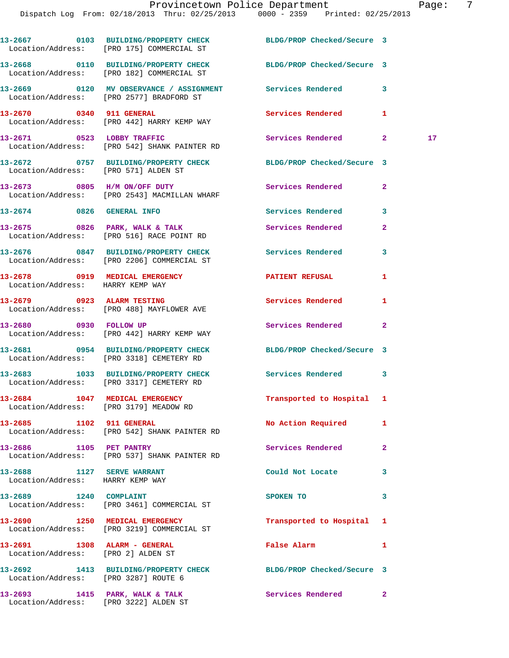|                                                                         | 13-2667 0103 BUILDING/PROPERTY CHECK<br>Location/Address: [PRO 175] COMMERCIAL ST                     | BLDG/PROP Checked/Secure 3 |              |    |
|-------------------------------------------------------------------------|-------------------------------------------------------------------------------------------------------|----------------------------|--------------|----|
|                                                                         | 13-2668 0110 BUILDING/PROPERTY CHECK<br>Location/Address: [PRO 182] COMMERCIAL ST                     | BLDG/PROP Checked/Secure 3 |              |    |
|                                                                         | 13-2669 0120 MV OBSERVANCE / ASSIGNMENT Services Rendered<br>Location/Address: [PRO 2577] BRADFORD ST |                            | 3            |    |
| 13-2670 0340 911 GENERAL                                                | Location/Address: [PRO 442] HARRY KEMP WAY                                                            | <b>Services Rendered</b>   | 1            |    |
|                                                                         | 13-2671 0523 LOBBY TRAFFIC<br>Location/Address: [PRO 542] SHANK PAINTER RD                            | Services Rendered 2        |              | 17 |
| Location/Address: [PRO 571] ALDEN ST                                    | 13-2672 0757 BUILDING/PROPERTY CHECK BLDG/PROP Checked/Secure 3                                       |                            |              |    |
|                                                                         | 13-2673 0805 H/M ON/OFF DUTY<br>Location/Address: [PRO 2543] MACMILLAN WHARF                          | Services Rendered          | $\mathbf{2}$ |    |
| 13-2674 0826 GENERAL INFO                                               |                                                                                                       | Services Rendered          | 3            |    |
|                                                                         | $13-2675$ 0826 PARK, WALK & TALK<br>Location/Address: [PRO 516] RACE POINT RD                         | Services Rendered          | $\mathbf{2}$ |    |
|                                                                         | 13-2676 0847 BUILDING/PROPERTY CHECK<br>Location/Address: [PRO 2206] COMMERCIAL ST                    | Services Rendered          | 3            |    |
| 13-2678 0919 MEDICAL EMERGENCY<br>Location/Address: HARRY KEMP WAY      |                                                                                                       | <b>PATIENT REFUSAL</b>     | 1            |    |
|                                                                         | 13-2679 0923 ALARM TESTING<br>Location/Address: [PRO 488] MAYFLOWER AVE                               | Services Rendered          | 1            |    |
|                                                                         | 13-2680 0930 FOLLOW UP<br>Location/Address: [PRO 442] HARRY KEMP WAY                                  | Services Rendered          | $\mathbf{2}$ |    |
|                                                                         | 13-2681 0954 BUILDING/PROPERTY CHECK<br>Location/Address: [PRO 3318] CEMETERY RD                      | BLDG/PROP Checked/Secure 3 |              |    |
|                                                                         | 13-2683 1033 BUILDING/PROPERTY CHECK<br>Location/Address: [PRO 3317] CEMETERY RD                      | Services Rendered 3        |              |    |
| Location/Address: [PRO 3179] MEADOW RD                                  | 13-2684 1047 MEDICAL EMERGENCY                                                                        | Transported to Hospital 1  |              |    |
| 13-2685 1102 911 GENERAL                                                | Location/Address: [PRO 542] SHANK PAINTER RD                                                          | <b>No Action Required</b>  | 1            |    |
| 13-2686 1105 PET PANTRY                                                 | Location/Address: [PRO 537] SHANK PAINTER RD                                                          | <b>Services Rendered</b>   | $\mathbf{2}$ |    |
| 13-2688 1127 SERVE WARRANT<br>Location/Address: HARRY KEMP WAY          |                                                                                                       | Could Not Locate           | 3            |    |
| 13-2689 1240 COMPLAINT                                                  | Location/Address: [PRO 3461] COMMERCIAL ST                                                            | SPOKEN TO                  | 3            |    |
|                                                                         | 13-2690 1250 MEDICAL EMERGENCY<br>Location/Address: [PRO 3219] COMMERCIAL ST                          | Transported to Hospital 1  |              |    |
| 13-2691 1308 ALARM - GENERAL<br>Location/Address: [PRO 2] ALDEN ST      |                                                                                                       | False Alarm                | 1            |    |
| Location/Address: [PRO 3287] ROUTE 6                                    | 13-2692 1413 BUILDING/PROPERTY CHECK BLDG/PROP Checked/Secure 3                                       |                            |              |    |
| 13-2693 1415 PARK, WALK & TALK<br>Location/Address: [PRO 3222] ALDEN ST |                                                                                                       | Services Rendered          | 2            |    |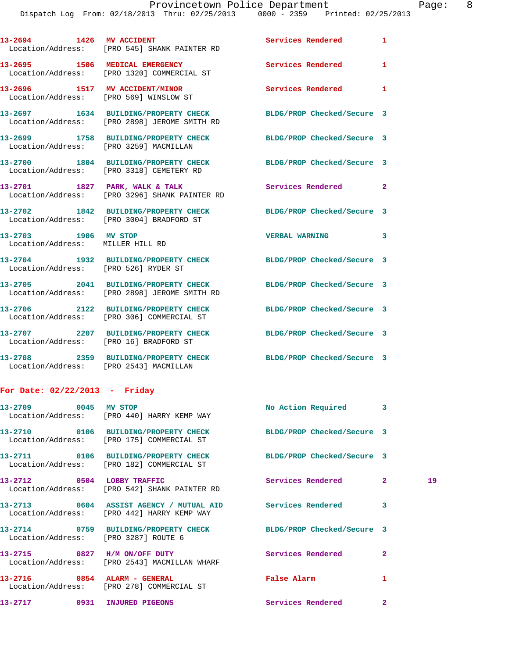| 13-2694 1426 MV ACCIDENT                                 | Location/Address: [PRO 545] SHANK PAINTER RD                                         | Services Rendered 1        |              |
|----------------------------------------------------------|--------------------------------------------------------------------------------------|----------------------------|--------------|
|                                                          | 13-2695 1506 MEDICAL EMERGENCY<br>Location/Address: [PRO 1320] COMMERCIAL ST         | <b>Services Rendered</b>   | $\mathbf{1}$ |
| 13-2696 1517 MV ACCIDENT/MINOR                           | Location/Address: [PRO 569] WINSLOW ST                                               | Services Rendered 1        |              |
|                                                          | 13-2697 1634 BUILDING/PROPERTY CHECK<br>Location/Address: [PRO 2898] JEROME SMITH RD | BLDG/PROP Checked/Secure 3 |              |
| Location/Address: [PRO 3259] MACMILLAN                   | 13-2699 1758 BUILDING/PROPERTY CHECK                                                 | BLDG/PROP Checked/Secure 3 |              |
|                                                          | 13-2700 1804 BUILDING/PROPERTY CHECK<br>Location/Address: [PRO 3318] CEMETERY RD     | BLDG/PROP Checked/Secure 3 |              |
|                                                          | 13-2701 1827 PARK, WALK & TALK<br>Location/Address: [PRO 3296] SHANK PAINTER RD      | Services Rendered 2        |              |
|                                                          | 13-2702 1842 BUILDING/PROPERTY CHECK<br>Location/Address: [PRO 3004] BRADFORD ST     | BLDG/PROP Checked/Secure 3 |              |
| 13-2703 1906 MV STOP<br>Location/Address: MILLER HILL RD |                                                                                      | <b>VERBAL WARNING</b>      | 3            |
| Location/Address: [PRO 526] RYDER ST                     | 13-2704 1932 BUILDING/PROPERTY CHECK BLDG/PROP Checked/Secure 3                      |                            |              |
|                                                          | 13-2705 2041 BUILDING/PROPERTY CHECK<br>Location/Address: [PRO 2898] JEROME SMITH RD | BLDG/PROP Checked/Secure 3 |              |
|                                                          | 13-2706 2122 BUILDING/PROPERTY CHECK<br>Location/Address: [PRO 306] COMMERCIAL ST    | BLDG/PROP Checked/Secure 3 |              |
| Location/Address: [PRO 16] BRADFORD ST                   | 13-2707 2207 BUILDING/PROPERTY CHECK                                                 | BLDG/PROP Checked/Secure 3 |              |
| Location/Address: [PRO 2543] MACMILLAN                   | 13-2708 2359 BUILDING/PROPERTY CHECK                                                 | BLDG/PROP Checked/Secure 3 |              |
|                                                          |                                                                                      |                            |              |

## **For Date: 02/22/2013 - Friday**

|                                      | $13-2709$ 0045 MV STOP<br>Location/Address: [PRO 440] HARRY KEMP WAY                                         | No Action Required 3 |                |    |
|--------------------------------------|--------------------------------------------------------------------------------------------------------------|----------------------|----------------|----|
|                                      | 13-2710 0106 BUILDING/PROPERTY CHECK BLDG/PROP Checked/Secure 3<br>Location/Address: [PRO 175] COMMERCIAL ST |                      |                |    |
|                                      | 13-2711 0106 BUILDING/PROPERTY CHECK BLDG/PROP Checked/Secure 3<br>Location/Address: [PRO 182] COMMERCIAL ST |                      |                |    |
|                                      | 13-2712 0504 LOBBY TRAFFIC Services Rendered 2<br>Location/Address: [PRO 542] SHANK PAINTER RD               |                      |                | 19 |
|                                      | 13-2713 0604 ASSIST AGENCY / MUTUAL AID Services Rendered<br>Location/Address: [PRO 442] HARRY KEMP WAY      |                      | 3              |    |
| Location/Address: [PRO 3287] ROUTE 6 | 13-2714 0759 BUILDING/PROPERTY CHECK BLDG/PROP Checked/Secure 3                                              |                      |                |    |
|                                      | 13-2715 0827 H/M ON/OFF DUTY Services Rendered<br>Location/Address: [PRO 2543] MACMILLAN WHARF               |                      | $\overline{2}$ |    |
|                                      | $13-2716$ 0854 ALARM - GENERAL<br>Location/Address: [PRO 278] COMMERCIAL ST                                  | False Alarm          | 1              |    |
| 13-2717 0931 INJURED PIGEONS         |                                                                                                              | Services Rendered    | $\overline{2}$ |    |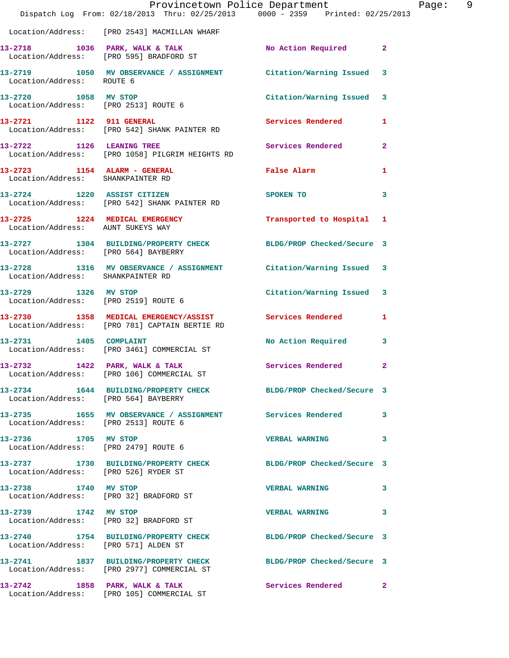|                                                              | Dispatch Log From: 02/18/2013 Thru: 02/25/2013 0000 - 2359 Printed: 02/25/2013                                | Provincetown Police Department | Page: 9                 |
|--------------------------------------------------------------|---------------------------------------------------------------------------------------------------------------|--------------------------------|-------------------------|
|                                                              | Location/Address: [PRO 2543] MACMILLAN WHARF                                                                  |                                |                         |
|                                                              | 13-2718 1036 PARK, WALK & TALK No Action Required 2<br>Location/Address: [PRO 595] BRADFORD ST                |                                |                         |
| Location/Address: ROUTE 6                                    | 13-2719 1050 MV OBSERVANCE / ASSIGNMENT Citation/Warning Issued 3                                             |                                |                         |
| 13-2720 1058 MV STOP                                         | Location/Address: [PRO 2513] ROUTE 6                                                                          | Citation/Warning Issued 3      |                         |
|                                                              | 13-2721 1122 911 GENERAL<br>Location/Address: [PRO 542] SHANK PAINTER RD                                      | Services Rendered 1            |                         |
|                                                              | 13-2722 1126 LEANING TREE<br>Location/Address: [PRO 1058] PILGRIM HEIGHTS RD                                  | Services Rendered 2            |                         |
| Location/Address: SHANKPAINTER RD                            | 13-2723 1154 ALARM - GENERAL                                                                                  | False Alarm                    | 1                       |
|                                                              | 13-2724 1220 ASSIST CITIZEN<br>Location/Address: [PRO 542] SHANK PAINTER RD                                   | SPOKEN TO                      | 3                       |
| Location/Address: AUNT SUKEYS WAY                            | 13-2725 1224 MEDICAL EMERGENCY                                                                                | Transported to Hospital 1      |                         |
| Location/Address: [PRO 564] BAYBERRY                         | 13-2727 1304 BUILDING/PROPERTY CHECK BLDG/PROP Checked/Secure 3                                               |                                |                         |
| Location/Address: SHANKPAINTER RD                            | 13-2728 1316 MV OBSERVANCE / ASSIGNMENT Citation/Warning Issued 3                                             |                                |                         |
| 13-2729 1326 MV STOP<br>Location/Address: [PRO 2519] ROUTE 6 |                                                                                                               | Citation/Warning Issued 3      |                         |
|                                                              | 13-2730 1358 MEDICAL EMERGENCY/ASSIST Services Rendered 1<br>Location/Address: [PRO 781] CAPTAIN BERTIE RD    |                                |                         |
|                                                              | 13-2731 1405 COMPLAINT<br>Location/Address: [PRO 3461] COMMERCIAL ST                                          | No Action Required             | $\overline{\mathbf{3}}$ |
| 13-2732                                                      | 1422 PARK, WALK & TALK<br>Location/Address: [PRO 106] COMMERCIAL ST                                           | Services Rendered 2            |                         |
| Location/Address: [PRO 564] BAYBERRY                         | 13-2734 1644 BUILDING/PROPERTY CHECK BLDG/PROP Checked/Secure 3                                               |                                |                         |
| Location/Address: [PRO 2513] ROUTE 6                         | 13-2735 1655 MV OBSERVANCE / ASSIGNMENT Services Rendered 3                                                   |                                |                         |
| 13-2736 1705 MV STOP                                         | Location/Address: [PRO 2479] ROUTE 6                                                                          | <b>VERBAL WARNING</b>          | 3                       |
| Location/Address: [PRO 526] RYDER ST                         | 13-2737 1730 BUILDING/PROPERTY CHECK BLDG/PROP Checked/Secure 3                                               |                                |                         |
| 13-2738 1740 MV STOP                                         | Location/Address: [PRO 32] BRADFORD ST                                                                        | <b>VERBAL WARNING</b>          | 3                       |
| 13-2739 1742 MV STOP                                         | Location/Address: [PRO 32] BRADFORD ST                                                                        | VERBAL WARNING 3               |                         |
| Location/Address: [PRO 571] ALDEN ST                         | 13-2740 1754 BUILDING/PROPERTY CHECK BLDG/PROP Checked/Secure 3                                               |                                |                         |
|                                                              | 13-2741 1837 BUILDING/PROPERTY CHECK BLDG/PROP Checked/Secure 3<br>Location/Address: [PRO 2977] COMMERCIAL ST |                                |                         |
|                                                              | 13-2742 1858 PARK, WALK & TALK Services Rendered 2<br>Location/Address: [PRO 105] COMMERCIAL ST               |                                |                         |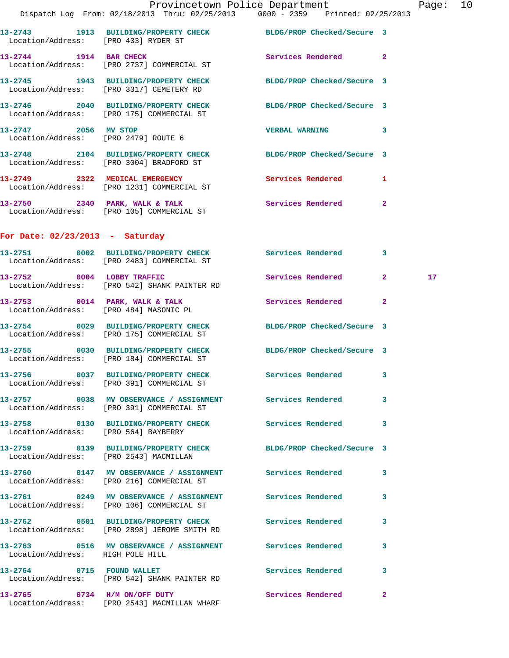|                                   |                                                                                                              | Provincetown Police Department |                         | Page: 10 |  |
|-----------------------------------|--------------------------------------------------------------------------------------------------------------|--------------------------------|-------------------------|----------|--|
|                                   | Dispatch Log From: 02/18/2013 Thru: 02/25/2013 0000 - 2359 Printed: 02/25/2013                               |                                |                         |          |  |
|                                   | 13-2743 1913 BUILDING/PROPERTY CHECK BLDG/PROP Checked/Secure 3<br>Location/Address: [PRO 433] RYDER ST      |                                |                         |          |  |
| 13-2744 1914 BAR CHECK            | Location/Address: [PRO 2737] COMMERCIAL ST                                                                   | Services Rendered 2            |                         |          |  |
|                                   | 13-2745 1943 BUILDING/PROPERTY CHECK BLDG/PROP Checked/Secure 3<br>Location/Address: [PRO 3317] CEMETERY RD  |                                |                         |          |  |
|                                   | 13-2746 2040 BUILDING/PROPERTY CHECK BLDG/PROP Checked/Secure 3<br>Location/Address: [PRO 175] COMMERCIAL ST |                                |                         |          |  |
| 13-2747 2056 MV STOP              | Location/Address: [PRO 2479] ROUTE 6                                                                         | VERBAL WARNING 3               |                         |          |  |
|                                   | 13-2748 2104 BUILDING/PROPERTY CHECK BLDG/PROP Checked/Secure 3<br>Location/Address: [PRO 3004] BRADFORD ST  |                                |                         |          |  |
|                                   | 13-2749 2322 MEDICAL EMERGENCY Services Rendered 1<br>Location/Address: [PRO 1231] COMMERCIAL ST             |                                |                         |          |  |
|                                   | 13-2750 2340 PARK, WALK & TALK Services Rendered 2<br>Location/Address: [PRO 105] COMMERCIAL ST              |                                |                         |          |  |
| For Date: $02/23/2013$ - Saturday |                                                                                                              |                                |                         |          |  |
|                                   | 13-2751 0002 BUILDING/PROPERTY CHECK Services Rendered 3<br>Location/Address: [PRO 2483] COMMERCIAL ST       |                                |                         |          |  |
|                                   | 13-2752 0004 LOBBY TRAFFIC<br>Location/Address: [PRO 542] SHANK PAINTER RD                                   | Services Rendered 2            |                         | 17       |  |
|                                   | 13-2753 0014 PARK, WALK & TALK 3 Services Rendered 2<br>Location/Address: [PRO 484] MASONIC PL               |                                |                         |          |  |
|                                   | 13-2754 0029 BUILDING/PROPERTY CHECK BLDG/PROP Checked/Secure 3<br>Location/Address: [PRO 175] COMMERCIAL ST |                                |                         |          |  |
|                                   | 13-2755 0030 BUILDING/PROPERTY CHECK BLDG/PROP Checked/Secure 3<br>Location/Address: [PRO 184] COMMERCIAL ST |                                |                         |          |  |
|                                   | 13-2756 0037 BUILDING/PROPERTY CHECK                                                                         | <b>Services Rendered</b>       | $\overline{\mathbf{3}}$ |          |  |

**13-2757 0038 MV OBSERVANCE / ASSIGNMENT Services Rendered 3**  Location/Address: [PRO 391] COMMERCIAL ST

**13-2758 0130 BUILDING/PROPERTY CHECK Services Rendered 3**  Location/Address: [PRO 564] BAYBERRY

**13-2763 0516 MV OBSERVANCE / ASSIGNMENT Services Rendered 3** 

**13-2759 0139 BUILDING/PROPERTY CHECK BLDG/PROP Checked/Secure 3**  Location/Address: [PRO 2543] MACMILLAN

Location/Address: [PRO 391] COMMERCIAL ST

**13-2760 0147 MV OBSERVANCE / ASSIGNMENT Services Rendered 3**  Location/Address: [PRO 216] COMMERCIAL ST

**13-2761 0249 MV OBSERVANCE / ASSIGNMENT Services Rendered 3**  Location/Address: [PRO 106] COMMERCIAL ST

**13-2762 0501 BUILDING/PROPERTY CHECK Services Rendered 3** 

Location/Address: [PRO 2898] JEROME SMITH RD

Location/Address: HIGH POLE HILL

13-2764 0715 FOUND WALLET **Services Rendered** 3 Location/Address: [PRO 542] SHANK PAINTER RD

**13-2765 0734 H/M ON/OFF DUTY Services Rendered 2**  Location/Address: [PRO 2543] MACMILLAN WHARF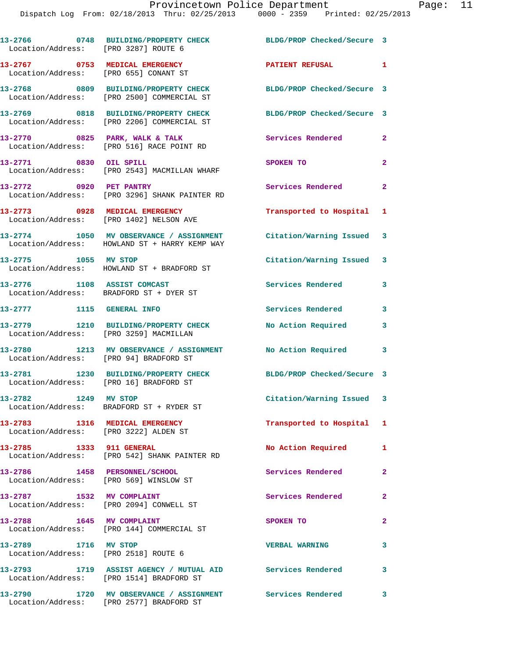| Location/Address: [PRO 3287] ROUTE 6                                    | 13-2766 0748 BUILDING/PROPERTY CHECK                                                                    | BLDG/PROP Checked/Secure 3 |                         |
|-------------------------------------------------------------------------|---------------------------------------------------------------------------------------------------------|----------------------------|-------------------------|
| 13-2767 0753 MEDICAL EMERGENCY<br>Location/Address: [PRO 655] CONANT ST |                                                                                                         | PATIENT REFUSAL 1          |                         |
|                                                                         | 13-2768 0809 BUILDING/PROPERTY CHECK<br>Location/Address: [PRO 2500] COMMERCIAL ST                      | BLDG/PROP Checked/Secure 3 |                         |
|                                                                         | 13-2769 0818 BUILDING/PROPERTY CHECK<br>Location/Address: [PRO 2206] COMMERCIAL ST                      | BLDG/PROP Checked/Secure 3 |                         |
|                                                                         | $13-2770$ 0825 PARK, WALK & TALK<br>Location/Address: [PRO 516] RACE POINT RD                           | Services Rendered          | $\mathbf{2}$            |
| 13-2771 0830 OIL SPILL                                                  | Location/Address: [PRO 2543] MACMILLAN WHARF                                                            | SPOKEN TO                  | $\mathbf{2}$            |
| 13-2772 0920 PET PANTRY                                                 | Location/Address: [PRO 3296] SHANK PAINTER RD                                                           | Services Rendered          | $\mathbf{2}$            |
| 13-2773 0928 MEDICAL EMERGENCY                                          | Location/Address: [PRO 1402] NELSON AVE                                                                 | Transported to Hospital 1  |                         |
|                                                                         | 13-2774 1050 MV OBSERVANCE / ASSIGNMENT<br>Location/Address: HOWLAND ST + HARRY KEMP WAY                | Citation/Warning Issued 3  |                         |
| 13-2775 1055 MV STOP                                                    | Location/Address: HOWLAND ST + BRADFORD ST                                                              | Citation/Warning Issued 3  |                         |
| 13-2776 1108 ASSIST COMCAST<br>Location/Address: BRADFORD ST + DYER ST  |                                                                                                         | Services Rendered          | 3                       |
| 13-2777 1115 GENERAL INFO                                               |                                                                                                         | Services Rendered          | $\mathbf{3}$            |
| Location/Address: [PRO 3259] MACMILLAN                                  | 13-2779 1210 BUILDING/PROPERTY CHECK                                                                    | No Action Required         | 3                       |
| Location/Address: [PRO 94] BRADFORD ST                                  | 13-2780 1213 MV OBSERVANCE / ASSIGNMENT                                                                 | No Action Required         | $\overline{\mathbf{3}}$ |
| Location/Address: [PRO 16] BRADFORD ST                                  | 13-2781 1230 BUILDING/PROPERTY CHECK BLDG/PROP Checked/Secure 3                                         |                            |                         |
|                                                                         | Location/Address: BRADFORD ST + RYDER ST                                                                | Citation/Warning Issued 3  |                         |
| Location/Address: [PRO 3222] ALDEN ST                                   | 13-2783 1316 MEDICAL EMERGENCY                                                                          | Transported to Hospital 1  |                         |
| 13-2785 1333 911 GENERAL                                                | Location/Address: [PRO 542] SHANK PAINTER RD                                                            | No Action Required         | $\mathbf{1}$            |
| 13-2786 1458 PERSONNEL/SCHOOL<br>Location/Address: [PRO 569] WINSLOW ST |                                                                                                         | Services Rendered          | $\mathbf{2}$            |
| 13-2787 1532 MV COMPLAINT                                               | Location/Address: [PRO 2094] CONWELL ST                                                                 | <b>Services Rendered</b>   | $\mathbf{2}$            |
| 13-2788 1645 MV COMPLAINT                                               | Location/Address: [PRO 144] COMMERCIAL ST                                                               | SPOKEN TO                  | $\mathbf{2}$            |
| 13-2789 1716 MV STOP<br>Location/Address: [PRO 2518] ROUTE 6            |                                                                                                         | <b>VERBAL WARNING</b>      | $\mathbf{3}$            |
|                                                                         | 13-2793 1719 ASSIST AGENCY / MUTUAL AID Services Rendered 3<br>Location/Address: [PRO 1514] BRADFORD ST |                            |                         |
|                                                                         | 13-2790 1720 MV OBSERVANCE / ASSIGNMENT Services Rendered 3                                             |                            |                         |

Location/Address: [PRO 2577] BRADFORD ST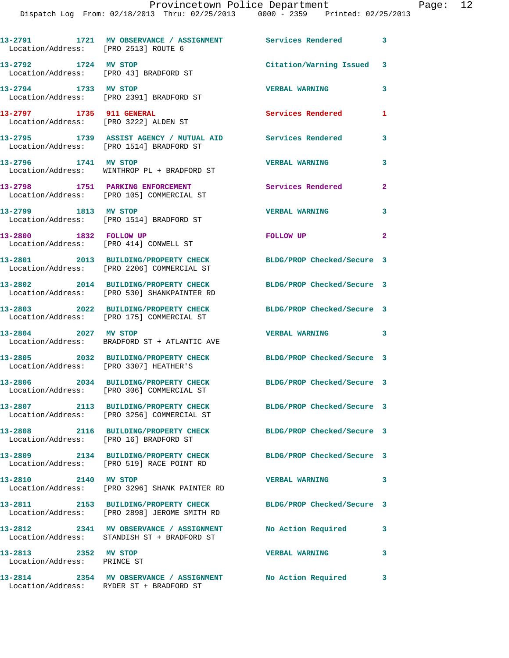Dispatch Log From: 02/18/2013 Thru: 02/25/2013 0000 - 2359 Printed: 02/25/2013

**13-2791 1721 MV OBSERVANCE / ASSIGNMENT Services Rendered 3**  Location/Address: [PRO 2513] ROUTE 6 **13-2792 1724 MV STOP Citation/Warning Issued 3**  Location/Address: [PRO 43] BRADFORD ST **13-2794 1733 MV STOP VERBAL WARNING 3**  Location/Address: [PRO 2391] BRADFORD ST **13-2797 1735 911 GENERAL Services Rendered 1**  Location/Address: [PRO 3222] ALDEN ST **13-2795 1739 ASSIST AGENCY / MUTUAL AID Services Rendered 3**  Location/Address: [PRO 1514] BRADFORD ST **13-2796 1741 MV STOP VERBAL WARNING 3**  Location/Address: WINTHROP PL + BRADFORD ST **13-2798 1751 PARKING ENFORCEMENT Services Rendered 2**  Location/Address: [PRO 105] COMMERCIAL ST **13-2799 1813 MV STOP VERBAL WARNING 3**  Location/Address: [PRO 1514] BRADFORD ST **13-2800 1832 FOLLOW UP FOLLOW UP 2**  Location/Address: [PRO 414] CONWELL ST **13-2801 2013 BUILDING/PROPERTY CHECK BLDG/PROP Checked/Secure 3**  Location/Address: [PRO 2206] COMMERCIAL ST **13-2802 2014 BUILDING/PROPERTY CHECK BLDG/PROP Checked/Secure 3**  Location/Address: [PRO 530] SHANKPAINTER RD **13-2803 2022 BUILDING/PROPERTY CHECK BLDG/PROP Checked/Secure 3**  Location/Address: [PRO 175] COMMERCIAL ST **13-2804 2027 MV STOP VERBAL WARNING 3**  BRADFORD ST + ATLANTIC AVE **13-2805 2032 BUILDING/PROPERTY CHECK BLDG/PROP Checked/Secure 3**  Location/Address: [PRO 3307] HEATHER'S **13-2806 2034 BUILDING/PROPERTY CHECK BLDG/PROP Checked/Secure 3**  Location/Address: [PRO 306] COMMERCIAL ST **13-2807 2113 BUILDING/PROPERTY CHECK BLDG/PROP Checked/Secure 3**  Location/Address: [PRO 3256] COMMERCIAL ST **13-2808 2116 BUILDING/PROPERTY CHECK BLDG/PROP Checked/Secure 3**  Location/Address: [PRO 16] BRADFORD ST **13-2809 2134 BUILDING/PROPERTY CHECK BLDG/PROP Checked/Secure 3**  Location/Address: [PRO 519] RACE POINT RD **13-2810 2140 MV STOP VERBAL WARNING 3**  Location/Address: [PRO 3296] SHANK PAINTER RD **13-2811 2153 BUILDING/PROPERTY CHECK BLDG/PROP Checked/Secure 3**  Location/Address: [PRO 2898] JEROME SMITH RD **13-2812 2341 MV OBSERVANCE / ASSIGNMENT No Action Required 3**  Location/Address: STANDISH ST + BRADFORD ST **13-2813 2352 MV STOP VERBAL WARNING 3**  Location/Address: PRINCE ST **13-2814 2354 MV OBSERVANCE / ASSIGNMENT No Action Required 3**  Location/Address: RYDER ST + BRADFORD ST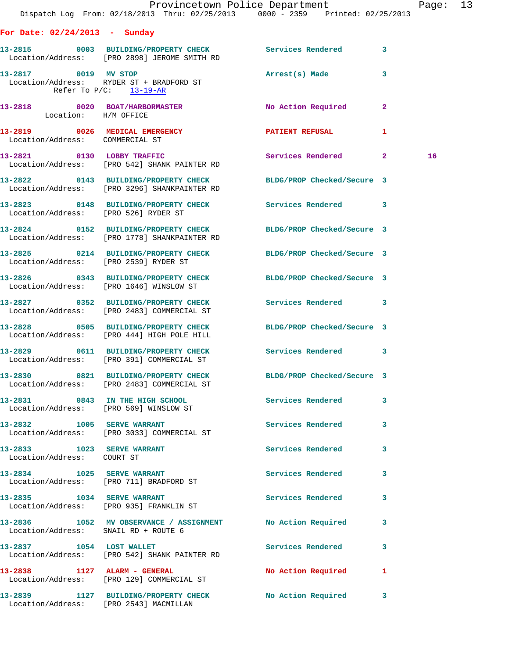|                                                          |                                                                                      | Provincetown Police Department<br>Dispatch Log From: 02/18/2013 Thru: 02/25/2013 0000 - 2359 Printed: 02/25/2013 |                         | Page: 13 |  |
|----------------------------------------------------------|--------------------------------------------------------------------------------------|------------------------------------------------------------------------------------------------------------------|-------------------------|----------|--|
| For Date: $02/24/2013$ - Sunday                          |                                                                                      |                                                                                                                  |                         |          |  |
|                                                          | Location/Address: [PRO 2898] JEROME SMITH RD                                         | 13-2815 0003 BUILDING/PROPERTY CHECK Services Rendered 3                                                         |                         |          |  |
| 13-2817 0019 MV STOP                                     | Location/Address: RYDER ST + BRADFORD ST<br>Refer To $P/C$ : 13-19-AR                | Arrest(s) Made                                                                                                   | $\overline{\mathbf{3}}$ |          |  |
| Location: H/M OFFICE                                     |                                                                                      | 13-2818 0020 BOAT/HARBORMASTER No Action Required                                                                | $\mathbf{2}$            |          |  |
| Location/Address: COMMERCIAL ST                          | 13-2819 0026 MEDICAL EMERGENCY                                                       | PATIENT REFUSAL                                                                                                  | $\mathbf{1}$            |          |  |
|                                                          | 13-2821 0130 LOBBY TRAFFIC<br>Location/Address: [PRO 542] SHANK PAINTER RD           | Services Rendered 2                                                                                              |                         | 16       |  |
|                                                          | Location/Address: [PRO 3296] SHANKPAINTER RD                                         | 13-2822 0143 BUILDING/PROPERTY CHECK BLDG/PROP Checked/Secure 3                                                  |                         |          |  |
| Location/Address: [PRO 526] RYDER ST                     |                                                                                      | 13-2823 0148 BUILDING/PROPERTY CHECK Services Rendered 3                                                         |                         |          |  |
|                                                          | 13-2824 0152 BUILDING/PROPERTY CHECK<br>Location/Address: [PRO 1778] SHANKPAINTER RD | BLDG/PROP Checked/Secure 3                                                                                       |                         |          |  |
| Location/Address: [PRO 2539] RYDER ST                    |                                                                                      | 13-2825 0214 BUILDING/PROPERTY CHECK BLDG/PROP Checked/Secure 3                                                  |                         |          |  |
|                                                          | Location/Address: [PRO 1646] WINSLOW ST                                              | 13-2826 0343 BUILDING/PROPERTY CHECK BLDG/PROP Checked/Secure 3                                                  |                         |          |  |
|                                                          | Location/Address: [PRO 2483] COMMERCIAL ST                                           | 13-2827 0352 BUILDING/PROPERTY CHECK Services Rendered 3                                                         |                         |          |  |
|                                                          | Location/Address: [PRO 444] HIGH POLE HILL                                           | 13-2828 0505 BUILDING/PROPERTY CHECK BLDG/PROP Checked/Secure 3                                                  |                         |          |  |
|                                                          | Location/Address: [PRO 391] COMMERCIAL ST                                            | 13-2829 0611 BUILDING/PROPERTY CHECK Services Rendered 3                                                         |                         |          |  |
|                                                          | 13-2830 0821 BUILDING/PROPERTY CHECK<br>Location/Address: [PRO 2483] COMMERCIAL ST   | BLDG/PROP Checked/Secure 3                                                                                       |                         |          |  |
|                                                          | 13-2831 0843 IN THE HIGH SCHOOL<br>Location/Address: [PRO 569] WINSLOW ST            | Services Rendered 3                                                                                              |                         |          |  |
|                                                          | 13-2832 1005 SERVE WARRANT<br>Location/Address: [PRO 3033] COMMERCIAL ST             | Services Rendered                                                                                                | 3                       |          |  |
| 13-2833 1023 SERVE WARRANT<br>Location/Address: COURT ST |                                                                                      | Services Rendered                                                                                                | $\mathbf{3}$            |          |  |
|                                                          | 13-2834 1025 SERVE WARRANT<br>Location/Address: [PRO 711] BRADFORD ST                | Services Rendered                                                                                                | 3                       |          |  |
|                                                          | 13-2835 1034 SERVE WARRANT<br>Location/Address: [PRO 935] FRANKLIN ST                | Services Rendered 3                                                                                              |                         |          |  |
| Location/Address: SNAIL RD + ROUTE 6                     |                                                                                      | 13-2836 1052 MV OBSERVANCE / ASSIGNMENT No Action Required                                                       | 3                       |          |  |
| 13-2837 1054 LOST WALLET                                 | Location/Address: [PRO 542] SHANK PAINTER RD                                         | Services Rendered 3                                                                                              |                         |          |  |
|                                                          | 13-2838 1127 ALARM - GENERAL<br>Location/Address: [PRO 129] COMMERCIAL ST            | No Action Required                                                                                               | 1                       |          |  |
|                                                          | Location/Address: [PRO 2543] MACMILLAN                                               | 13-2839 1127 BUILDING/PROPERTY CHECK No Action Required 3                                                        |                         |          |  |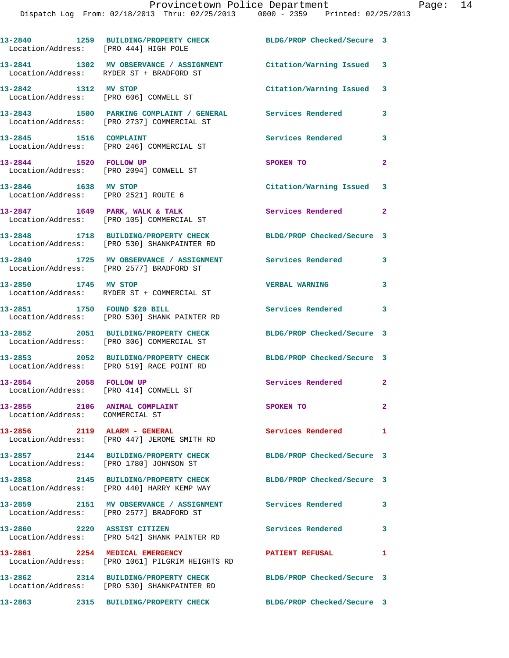| Location/Address: [PRO 444] HIGH POLE                            | 13-2840 1259 BUILDING/PROPERTY CHECK                                                                           | BLDG/PROP Checked/Secure 3 |                |
|------------------------------------------------------------------|----------------------------------------------------------------------------------------------------------------|----------------------------|----------------|
|                                                                  | 13-2841 1302 MV OBSERVANCE / ASSIGNMENT<br>Location/Address: RYDER ST + BRADFORD ST                            | Citation/Warning Issued 3  |                |
| 13-2842 1312 MV STOP<br>Location/Address: [PRO 606] CONWELL ST   |                                                                                                                | Citation/Warning Issued 3  |                |
|                                                                  | 13-2843 1500 PARKING COMPLAINT / GENERAL Services Rendered<br>Location/Address: [PRO 2737] COMMERCIAL ST       |                            | 3              |
| 13-2845 1516 COMPLAINT                                           | Location/Address: [PRO 246] COMMERCIAL ST                                                                      | <b>Services Rendered</b>   | 3              |
| 13-2844 1520 FOLLOW UP                                           | Location/Address: [PRO 2094] CONWELL ST                                                                        | SPOKEN TO                  | $\mathbf{2}$   |
| 13-2846 1638 MV STOP<br>Location/Address: [PRO 2521] ROUTE 6     |                                                                                                                | Citation/Warning Issued 3  |                |
|                                                                  | $13-2847$ 1649 PARK, WALK & TALK<br>Location/Address: [PRO 105] COMMERCIAL ST                                  | Services Rendered 2        |                |
|                                                                  | 13-2848 1718 BUILDING/PROPERTY CHECK<br>Location/Address: [PRO 530] SHANKPAINTER RD                            | BLDG/PROP Checked/Secure 3 |                |
|                                                                  | 13-2849 1725 MV OBSERVANCE / ASSIGNMENT<br>Location/Address: [PRO 2577] BRADFORD ST                            | Services Rendered          | 3              |
| 13-2850 1745 MV STOP                                             | Location/Address: RYDER ST + COMMERCIAL ST                                                                     | <b>VERBAL WARNING</b>      | 3              |
| 13-2851 1750 FOUND \$20 BILL                                     | Location/Address: [PRO 530] SHANK PAINTER RD                                                                   | Services Rendered          | 3              |
|                                                                  | 13-2852 2051 BUILDING/PROPERTY CHECK<br>Location/Address: [PRO 306] COMMERCIAL ST                              | BLDG/PROP Checked/Secure 3 |                |
|                                                                  | 13-2853 2052 BUILDING/PROPERTY CHECK<br>Location/Address: [PRO 519] RACE POINT RD                              | BLDG/PROP Checked/Secure 3 |                |
| 13-2854 2058 FOLLOW UP<br>Location/Address: [PRO 414] CONWELL ST |                                                                                                                | Services Rendered 2        |                |
| 13-2855 2106 ANIMAL COMPLAINT<br>Location/Address: COMMERCIAL ST |                                                                                                                | SPOKEN TO                  | $\mathbf{2}^-$ |
|                                                                  | 13-2856 2119 ALARM - GENERAL<br>Location/Address: [PRO 447] JEROME SMITH RD                                    | Services Rendered          | 1              |
|                                                                  | 13-2857 2144 BUILDING/PROPERTY CHECK BLDG/PROP Checked/Secure 3<br>Location/Address: [PRO 1780] JOHNSON ST     |                            |                |
|                                                                  | 13-2858 2145 BUILDING/PROPERTY CHECK<br>Location/Address: [PRO 440] HARRY KEMP WAY                             | BLDG/PROP Checked/Secure 3 |                |
|                                                                  | 13-2859 2151 MV OBSERVANCE / ASSIGNMENT Services Rendered 3<br>Location/Address: [PRO 2577] BRADFORD ST        |                            |                |
| 13-2860 2220 ASSIST CITIZEN                                      | Location/Address: [PRO 542] SHANK PAINTER RD                                                                   | Services Rendered          | 3              |
|                                                                  | 13-2861 2254 MEDICAL EMERGENCY<br>Location/Address: [PRO 1061] PILGRIM HEIGHTS RD                              | <b>PATIENT REFUSAL</b>     | 1              |
|                                                                  | 13-2862 2314 BUILDING/PROPERTY CHECK BLDG/PROP Checked/Secure 3<br>Location/Address: [PRO 530] SHANKPAINTER RD |                            |                |
|                                                                  | 13-2863 2315 BUILDING/PROPERTY CHECK                                                                           | BLDG/PROP Checked/Secure 3 |                |